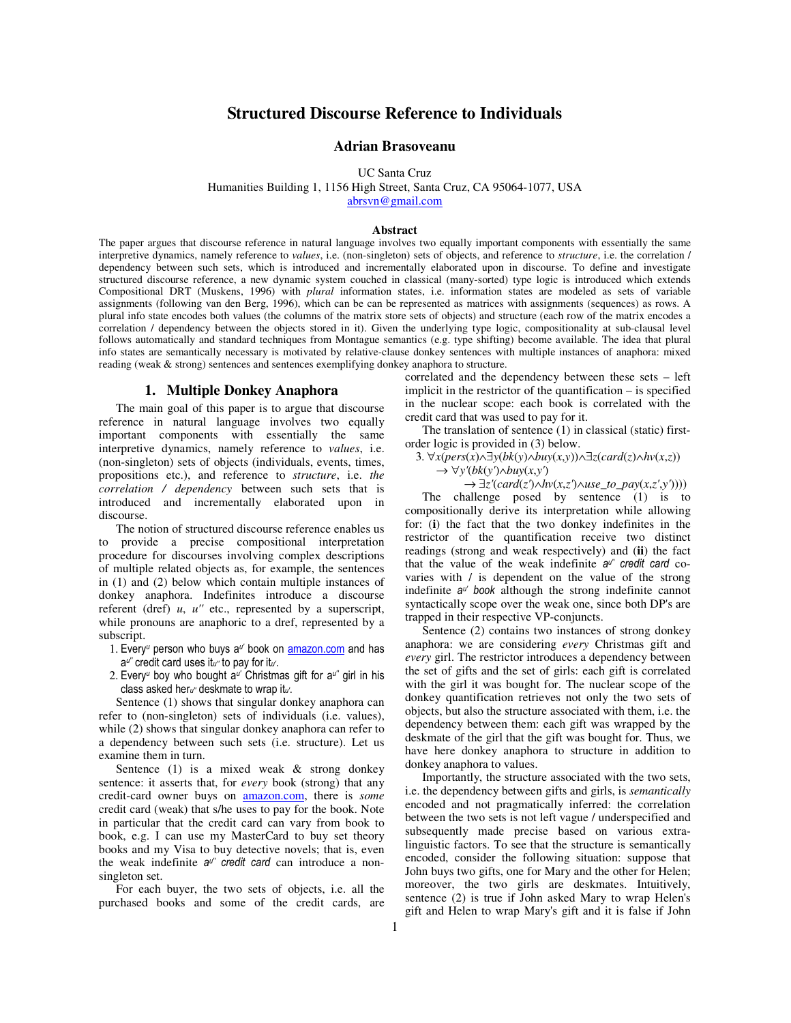# **Structured Discourse Reference to Individuals**

### **Adrian Brasoveanu**

UC Santa Cruz

Humanities Building 1, 1156 High Street, Santa Cruz, CA 95064-1077, USA

abrsvn@gmail.com

#### **Abstract**

The paper argues that discourse reference in natural language involves two equally important components with essentially the same interpretive dynamics, namely reference to *values*, i.e. (non-singleton) sets of objects, and reference to *structure*, i.e. the correlation / dependency between such sets, which is introduced and incrementally elaborated upon in discourse. To define and investigate structured discourse reference, a new dynamic system couched in classical (many-sorted) type logic is introduced which extends Compositional DRT (Muskens, 1996) with *plural* information states, i.e. information states are modeled as sets of variable assignments (following van den Berg, 1996), which can be can be represented as matrices with assignments (sequences) as rows. A plural info state encodes both values (the columns of the matrix store sets of objects) and structure (each row of the matrix encodes a correlation / dependency between the objects stored in it). Given the underlying type logic, compositionality at sub-clausal level follows automatically and standard techniques from Montague semantics (e.g. type shifting) become available. The idea that plural info states are semantically necessary is motivated by relative-clause donkey sentences with multiple instances of anaphora: mixed reading (weak & strong) sentences and sentences exemplifying donkey anaphora to structure.

## **1. Multiple Donkey Anaphora**

The main goal of this paper is to argue that discourse reference in natural language involves two equally important components with essentially the same interpretive dynamics, namely reference to *values*, i.e. (non-singleton) sets of objects (individuals, events, times, propositions etc.), and reference to *structure*, i.e. *the correlation / dependency* between such sets that is introduced and incrementally elaborated upon in discourse.

The notion of structured discourse reference enables us to provide a precise compositional interpretation procedure for discourses involving complex descriptions of multiple related objects as, for example, the sentences in (1) and (2) below which contain multiple instances of donkey anaphora. Indefinites introduce a discourse referent (dref) *u*, *u''* etc., represented by a superscript, while pronouns are anaphoric to a dref, represented by a subscript.

- 1. Every<sup>u</sup> person who buys a<sup>u'</sup> book on **amazon.com** and has  $a^{u''}$  credit card uses it<sub>u"</sub> to pay for it<sub>u'</sub>.
- 2. Every<sup>u</sup> boy who bought a<sup>u'</sup> Christmas gift for a<sup>u"</sup> girl in his class asked heru" deskmate to wrap itu.

Sentence (1) shows that singular donkey anaphora can refer to (non-singleton) sets of individuals (i.e. values), while (2) shows that singular donkey anaphora can refer to a dependency between such sets (i.e. structure). Let us examine them in turn.

Sentence  $(1)$  is a mixed weak & strong donkey sentence: it asserts that, for *every* book (strong) that any credit-card owner buys on amazon.com, there is *some* credit card (weak) that s/he uses to pay for the book. Note in particular that the credit card can vary from book to book, e.g. I can use my MasterCard to buy set theory books and my Visa to buy detective novels; that is, even the weak indefinite  $a^{u^u}$  credit card can introduce a nonsingleton set.

For each buyer, the two sets of objects, i.e. all the purchased books and some of the credit cards, are

correlated and the dependency between these sets – left implicit in the restrictor of the quantification – is specified in the nuclear scope: each book is correlated with the credit card that was used to pay for it.

The translation of sentence (1) in classical (static) firstorder logic is provided in (3) below.

3. ∀*x*(*pers*(*x*)∧∃*y*(*bk*(*y*)∧*buy*(*x*,*y*))∧∃*z*(*card*(*z*)∧*hv*(*x*,*z*))

→ ∀*y'*(*bk*(*y'*)∧*buy*(*x*,*y'*)

 $\rightarrow \exists z' (card(z') \land hv(x,z') \land use_to\_pay(x,z',y'))))$ The challenge posed by sentence (1) is to compositionally derive its interpretation while allowing for: (**i**) the fact that the two donkey indefinites in the restrictor of the quantification receive two distinct readings (strong and weak respectively) and (**ii**) the fact that the value of the weak indefinite  $a^{u}$  credit card covaries with / is dependent on the value of the strong indefinite a<sup>u'</sup> book although the strong indefinite cannot syntactically scope over the weak one, since both DP's are trapped in their respective VP-conjuncts.

Sentence (2) contains two instances of strong donkey anaphora: we are considering *every* Christmas gift and *every* girl. The restrictor introduces a dependency between the set of gifts and the set of girls: each gift is correlated with the girl it was bought for. The nuclear scope of the donkey quantification retrieves not only the two sets of objects, but also the structure associated with them, i.e. the dependency between them: each gift was wrapped by the deskmate of the girl that the gift was bought for. Thus, we have here donkey anaphora to structure in addition to donkey anaphora to values.

Importantly, the structure associated with the two sets, i.e. the dependency between gifts and girls, is *semantically* encoded and not pragmatically inferred: the correlation between the two sets is not left vague / underspecified and subsequently made precise based on various extralinguistic factors. To see that the structure is semantically encoded, consider the following situation: suppose that John buys two gifts, one for Mary and the other for Helen; moreover, the two girls are deskmates. Intuitively, sentence (2) is true if John asked Mary to wrap Helen's gift and Helen to wrap Mary's gift and it is false if John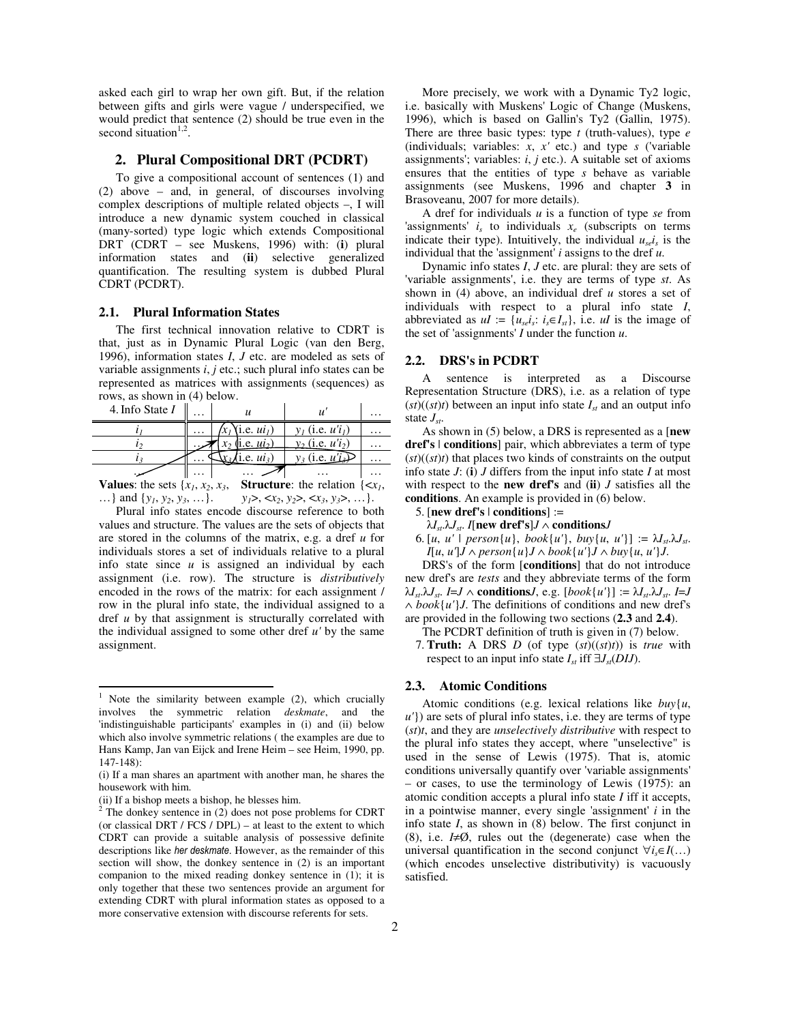asked each girl to wrap her own gift. But, if the relation between gifts and girls were vague / underspecified, we would predict that sentence (2) should be true even in the second situation<sup>1,2</sup>.

## **2. Plural Compositional DRT (PCDRT)**

To give a compositional account of sentences (1) and (2) above – and, in general, of discourses involving complex descriptions of multiple related objects –, I will introduce a new dynamic system couched in classical (many-sorted) type logic which extends Compositional DRT (CDRT – see Muskens, 1996) with: (**i**) plural information states and (**ii**) selective generalized quantification. The resulting system is dubbed Plural CDRT (PCDRT).

## **2.1. Plural Information States**

The first technical innovation relative to CDRT is that, just as in Dynamic Plural Logic (van den Berg, 1996), information states *I*, *J* etc. are modeled as sets of variable assignments *i*, *j* etc.; such plural info states can be represented as matrices with assignments (sequences) as rows, as shown in (4) below.

| 4. Info State I | . |                                |                       | .        |
|-----------------|---|--------------------------------|-----------------------|----------|
|                 | . | (i.e. <i>ui</i> <sub>l</sub> ) | $v_1$ (i.e. $u'i_1$ ) | .        |
|                 |   | $x_2$ (i.e. $u_i$ )            | $y_2$ (i.e. $u'i_2$ ) | $\cdots$ |
|                 |   | 1.e. $ui_3$ )                  | $y_3$ (i.e. $u'_1$ )  | .        |
|                 | . |                                |                       |          |

**Values**: the sets  $\{x_1, x_2, x_3, \text{ Structure: the relation } \{\leq x_1, \text{ } x_2, x_3, \text{ } \text{Structure: } x_4, x_5, x_6, x_7, x_8, x_9, x_1, x_2, x_3, x_4, x_5, x_6, x_7, x_8, x_9, x_1, x_2, x_3, x_4, x_6, x_7, x_8, x_9, x_1, x_2, x_3, x_4, x_6, x_7, x_8, x_9, x_1, x_2, x_3, x_4, x_6, x_7, x$ …} and {*y<sup>1</sup>* , *y<sup>2</sup>* , *y<sup>3</sup>* , …}. *y1*>, <*x<sup>2</sup>* , *y2*>, <*x<sup>3</sup>* , *y3*>, …}.

Plural info states encode discourse reference to both values and structure. The values are the sets of objects that are stored in the columns of the matrix, e.g. a dref *u* for individuals stores a set of individuals relative to a plural info state since *u* is assigned an individual by each assignment (i.e. row). The structure is *distributively* encoded in the rows of the matrix: for each assignment / row in the plural info state, the individual assigned to a dref *u* by that assignment is structurally correlated with the individual assigned to some other dref *u'* by the same assignment.

 $\overline{a}$ 

More precisely, we work with a Dynamic Ty2 logic, i.e. basically with Muskens' Logic of Change (Muskens, 1996), which is based on Gallin's Ty2 (Gallin, 1975). There are three basic types: type *t* (truth-values), type *e* (individuals; variables: *x*, *x'* etc.) and type *s* ('variable assignments'; variables: *i*, *j* etc.). A suitable set of axioms ensures that the entities of type *s* behave as variable assignments (see Muskens, 1996 and chapter **3** in Brasoveanu, 2007 for more details).

A dref for individuals *u* is a function of type *se* from 'assignments'  $i<sub>s</sub>$  to individuals  $x<sub>e</sub>$  (subscripts on terms indicate their type). Intuitively, the individual  $u_{se}$ *i*<sub>s</sub> is the individual that the 'assignment' *i* assigns to the dref *u*.

Dynamic info states *I*, *J* etc. are plural: they are sets of 'variable assignments', i.e. they are terms of type *st*. As shown in (4) above, an individual dref *u* stores a set of individuals with respect to a plural info state *I*, abbreviated as  $uI := \{u_{se}i_s : i_s \in I_{st}\}\$ , i.e.  $uI$  is the image of the set of 'assignments' *I* under the function *u*.

## **2.2. DRS's in PCDRT**

A sentence is interpreted as a Discourse Representation Structure (DRS), i.e. as a relation of type  $(st)$  $((st)t)$  between an input info state  $I<sub>st</sub>$  and an output info state *Jst*.

As shown in (5) below, a DRS is represented as a [**new dref's** | **conditions**] pair, which abbreviates a term of type  $(st)((st)t)$  that places two kinds of constraints on the output info state *J*: (**i**) *J* differs from the input info state *I* at most with respect to the **new dref's** and (**ii**) *J* satisfies all the **conditions**. An example is provided in (6) below.

- 5. [**new dref's** | **conditions**] :=
- $\lambda I_{st}$ ,  $\lambda J_{st}$ . *I*[**new dref's**]*J* ∧ **conditions***J*
- 6.  $[u, u']$  *person* $\{u\}$ , *book* $\{u'\}$ , *buv* $\{u, u'\}$  :=  $\lambda I_{st}$ . $\lambda J_{st}$ . *I*[*u*, *u'*]*J* ∧ *person*{*u*}*J* ∧ *book*{*u'*}*J* ∧ *buy*{*u*, *u'*}*J*.

DRS's of the form [**conditions**] that do not introduce new dref's are *tests* and they abbreviate terms of the form  $\lambda I_{st}$ ,  $\lambda J_{st}$ . *I*=*J*  $\wedge$  **conditions***J*, e.g. [*book*{*u'*}] :=  $\lambda I_{st}$ ,  $\lambda J_{st}$ . *I*=*J* ∧ *book*{*u'*}*J*. The definitions of conditions and new dref's are provided in the following two sections (**2.3** and **2.4**).

- The PCDRT definition of truth is given in (7) below.
- 7. **Truth:** A DRS *D* (of type (*st*)((*st*)*t*)) is *true* with respect to an input info state  $I_{st}$  iff  $\exists J_{st}(DIJ)$ .

#### **2.3. Atomic Conditions**

Atomic conditions (e.g. lexical relations like *buy*{*u*, *u'*}) are sets of plural info states, i.e. they are terms of type (*st*)*t*, and they are *unselectively distributive* with respect to the plural info states they accept, where "unselective" is used in the sense of Lewis (1975). That is, atomic conditions universally quantify over 'variable assignments' – or cases, to use the terminology of Lewis (1975): an atomic condition accepts a plural info state *I* iff it accepts, in a pointwise manner, every single 'assignment' *i* in the info state *I*, as shown in (8) below. The first conjunct in (8), i.e. *I*≠Ø, rules out the (degenerate) case when the universal quantification in the second conjunct  $\forall i_s \in I(\ldots)$ (which encodes unselective distributivity) is vacuously satisfied.

<sup>&</sup>lt;sup>1</sup> Note the similarity between example  $(2)$ , which crucially involves the symmetric relation *deskmate*, and the 'indistinguishable participants' examples in (i) and (ii) below which also involve symmetric relations ( the examples are due to Hans Kamp, Jan van Eijck and Irene Heim – see Heim, 1990, pp. 147-148):

<sup>(</sup>i) If a man shares an apartment with another man, he shares the housework with him.

<sup>(</sup>ii) If a bishop meets a bishop, he blesses him.<br><sup>2</sup> The donkey sentence in (2) does not pose problems for CDRT (or classical DRT / FCS / DPL) – at least to the extent to which CDRT can provide a suitable analysis of possessive definite descriptions like her deskmate. However, as the remainder of this section will show, the donkey sentence in (2) is an important companion to the mixed reading donkey sentence in (1); it is only together that these two sentences provide an argument for extending CDRT with plural information states as opposed to a more conservative extension with discourse referents for sets.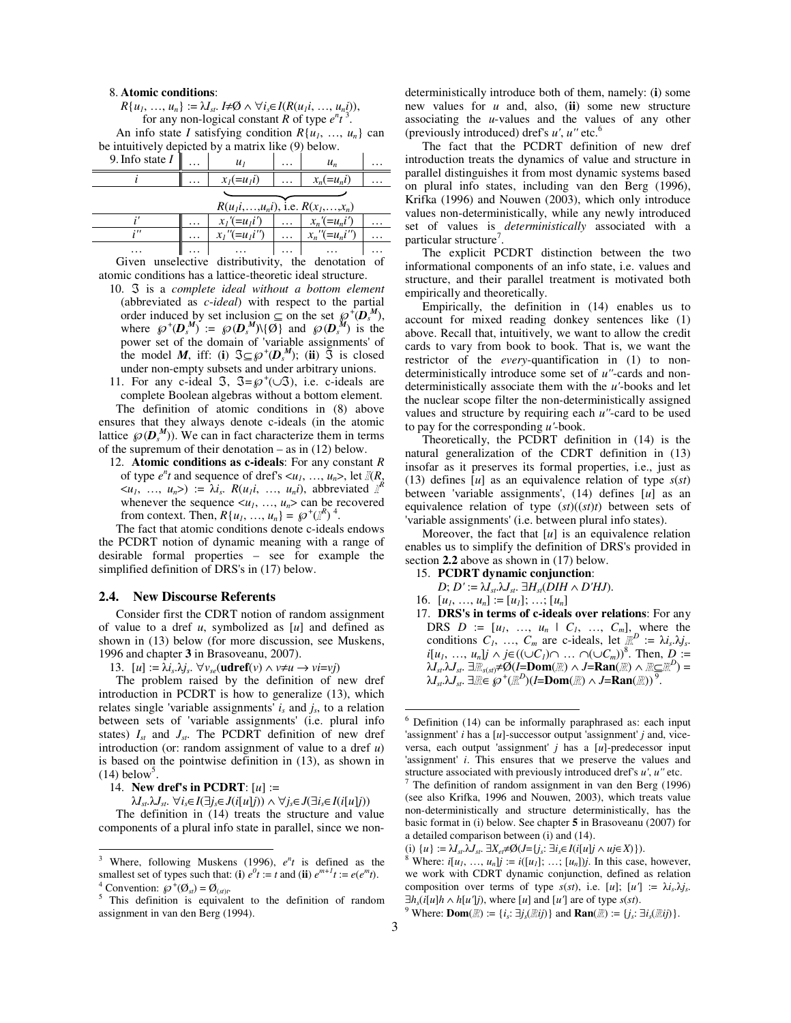#### 8. **Atomic conditions**:

 $R\{u_1, \ldots, u_n\} := \lambda I_{st}.$  *I*≠Ø ∧  $\forall i_s \in I(R(u_1 i, \ldots, u_n i)),$ for any non-logical constant *R* of type  $e^n t^3$ . An info state *I* satisfying condition  $R\{u_1, \ldots, u_n\}$  can

be intuitively depicted by a matrix like (9) below.

| 9. Info state $I$ | $\cdots$ |                           | $\cdots$ |  |
|-------------------|----------|---------------------------|----------|--|
|                   | $\cdots$ | $x_1(=u_1i)$ $x_n(=u_ni)$ |          |  |
|                   |          |                           |          |  |

|          | $R(u_1i, \ldots, u_n i)$ , i.e. $R(x_1, \ldots, x_n)$ |  |               |          |  |  |  |  |
|----------|-------------------------------------------------------|--|---------------|----------|--|--|--|--|
|          | $x_1' (=u_1 i') \dots x_n' (=u_n i')$                 |  |               | $\cdots$ |  |  |  |  |
|          | $x_1$ " $(=u_1i)$ " $\ldots$ $x_n$ " $(=u_ni)$ "      |  |               | .        |  |  |  |  |
| $\cdots$ | $\ldots$ $\vdots$ $\ldots$                            |  | and the state |          |  |  |  |  |
|          | Olivia suositaativa diatulkistiviten tkä daugtatiau.  |  |               | $-1$     |  |  |  |  |

Given unselective distributivity, the denotation of atomic conditions has a lattice-theoretic ideal structure.

10. ℑ is a *complete ideal without a bottom element* (abbreviated as *c*-*ideal*) with respect to the partial order induced by set inclusion  $\subseteq$  on the set  $\wp^{\dagger}(\mathbf{D}_s^{\mathbf{M}})$ , where  $\wp^{\dagger}(\mathbf{D}_s^{\mathbf{M}}) := \wp(\mathbf{D}_s^{\mathbf{M}}) \setminus {\emptyset}$  and  $\wp(\mathbf{D}_s^{\mathbf{M}})$  is the power set of the domain of 'variable assignments' of the model *M*, iff: (**i**)  $\Im \subseteq \mathcal{P}^+(D_s^M)$ ; (**ii**)  $\Im$  is closed under non-empty subsets and under arbitrary unions.

11. For any c-ideal  $\Im$ ,  $\Im = \wp^+(\cup \Im)$ , i.e. c-ideals are

complete Boolean algebras without a bottom element. The definition of atomic conditions in (8) above ensures that they always denote c-ideals (in the atomic lattice  $\wp(\mathbf{D}_s^M)$ . We can in fact characterize them in terms of the supremum of their denotation – as in (12) below.

12. **Atomic conditions as c-ideals**: For any constant *R* of type  $e^{nt}$  and sequence of dref's  $\langle u_1, ..., u_n \rangle$ , let  $\mathbb{I}(R)$ ,  $\langle u_1, \ldots, u_n \rangle$  :=  $\lambda i_s$ .  $R(u_1 i, \ldots, u_n i)$ , abbreviated  $R^k$ whenever the sequence  $\langle u_1, \ldots, u_n \rangle$  can be recovered from context. Then,  $R\{u_1, ..., u_n\} = \wp^{\dagger}(\mathbb{I}^R)^4$ .

The fact that atomic conditions denote c-ideals endows the PCDRT notion of dynamic meaning with a range of desirable formal properties – see for example the simplified definition of DRS's in (17) below.

## **2.4. New Discourse Referents**

Consider first the CDRT notion of random assignment of value to a dref *u*, symbolized as [*u*] and defined as shown in (13) below (for more discussion, see Muskens, 1996 and chapter **3** in Brasoveanu, 2007).

13.  $[u] := \hat{\lambda} i_s \cdot \lambda j_s$ .  $\forall v_{se}(\textbf{udref}(v) \land v \neq u \rightarrow v \neq v j)$ 

The problem raised by the definition of new dref introduction in PCDRT is how to generalize (13), which relates single 'variable assignments'  $i<sub>s</sub>$  and  $j<sub>s</sub>$ , to a relation between sets of 'variable assignments' (i.e. plural info states)  $I_{st}$  and  $J_{st}$ . The PCDRT definition of new dref introduction (or: random assignment of value to a dref *u*) is based on the pointwise definition in (13), as shown in  $(14)$  below<sup>5</sup>.

14. **New dref's in PCDRT**: [*u*] :=

 $\ddot{ }$ 

 $\lambda I_{st}$ ,  $\lambda J_{st}$ .  $\forall i_s \in I(\exists j_s \in J(i[u]j)) \land \forall j_s \in J(\exists i_s \in I(i[u]j))$ 

The definition in (14) treats the structure and value components of a plural info state in parallel, since we nondeterministically introduce both of them, namely: (**i**) some new values for *u* and, also, (**ii**) some new structure associating the *u*-values and the values of any other (previously introduced) dref's *u'*, *u''* etc.<sup>6</sup>

The fact that the PCDRT definition of new dref introduction treats the dynamics of value and structure in parallel distinguishes it from most dynamic systems based on plural info states, including van den Berg (1996), Krifka (1996) and Nouwen (2003), which only introduce values non-deterministically, while any newly introduced set of values is *deterministically* associated with a particular structure<sup>7</sup> .

The explicit PCDRT distinction between the two informational components of an info state, i.e. values and structure, and their parallel treatment is motivated both empirically and theoretically.

Empirically, the definition in (14) enables us to account for mixed reading donkey sentences like (1) above. Recall that, intuitively, we want to allow the credit cards to vary from book to book. That is, we want the restrictor of the *every*-quantification in (1) to nondeterministically introduce some set of *u''*-cards and nondeterministically associate them with the *u'*-books and let the nuclear scope filter the non-deterministically assigned values and structure by requiring each *u''*-card to be used to pay for the corresponding *u'*-book.

Theoretically, the PCDRT definition in (14) is the natural generalization of the CDRT definition in (13) insofar as it preserves its formal properties, i.e., just as (13) defines [*u*] as an equivalence relation of type *s*(*st*) between 'variable assignments', (14) defines [*u*] as an equivalence relation of type (*st*)((*st*)*t*) between sets of 'variable assignments' (i.e. between plural info states).

Moreover, the fact that [*u*] is an equivalence relation enables us to simplify the definition of DRS's provided in section **2.2** above as shown in (17) below.

- 15. **PCDRT dynamic conjunction**:
	- $D$ ;  $D' := \lambda I_{st} \lambda J_{st}$ .  $\exists H_{st}(DIH \wedge D'HJ)$ .
- 16.  $[u_1, ..., u_n] := [u_1]; ...; [u_n]$
- 17. **DRS's in terms of c-ideals over relations**: For any DRS  $D := [u_1, ..., u_n \mid C_1, ..., C_m]$ , where the conditions  $C_1$ , ...,  $C_m$  are c-ideals, let  $\mathbb{R}^D := \lambda i_s \lambda j_s$ . *i*[*u<sub>1</sub>*, …, *u<sub>n</sub>*]*j* ∧ *j*∈((∪*C<sub><i>I*</sub>)∩ … ∩(∪*C<sub><i>m*</sub>)</sub>)<sup>8</sup>. Then, *D* :=  $\lambda I_{st}$ , $\lambda J_{st}$ . ∃ $\mathbb{R}_{s(st)} \neq \mathcal{O}(I = \text{Dom}(\mathbb{R}) \wedge J = \text{Ran}(\mathbb{R}) \wedge \mathbb{R} \subseteq \mathbb{R}^D$ ) =  $\lambda I_{st}$ ,  $\lambda J_{st}$ .  $\exists \mathbb{R} \in \mathcal{O}^+( \mathbb{R}^D)$ (*I*=**Dom**( $\mathbb{R}$ )  $\wedge$  *J*=**Ran**( $\mathbb{R}$ ))<sup>9</sup>.

-

<sup>&</sup>lt;sup>3</sup> Where, following Muskens (1996),  $e^n t$  is defined as the smallest set of types such that: (**i**)  $e^{0t}$  := *t* and (**ii**)  $e^{m+1}t$  :=  $e(e^{m}t)$ . <sup>4</sup> Convention:  $\mathcal{O}^+(O_{st}) = O_{(st)t}$ .

<sup>&</sup>lt;sup>5</sup> This definition is equivalent to the definition of random assignment in van den Berg (1994).

<sup>&</sup>lt;sup>6</sup> Definition (14) can be informally paraphrased as: each input 'assignment' *i* has a [*u*]-successor output 'assignment' *j* and, viceversa, each output 'assignment' *j* has a [*u*]-predecessor input 'assignment' *i*. This ensures that we preserve the values and structure associated with previously introduced dref's *u'*, *u''* etc.<br><sup>7</sup> The definition of random assignment in van den Berg (1006)

The definition of random assignment in van den Berg (1996) (see also Krifka, 1996 and Nouwen, 2003), which treats value non-deterministically and structure deterministically, has the basic format in (i) below. See chapter **5** in Brasoveanu (2007) for a detailed comparison between (i) and (14).

<sup>(</sup>i)  $\{u\} := \lambda I_{st} \lambda J_{st}$ .  $\exists X_{et} \neq \emptyset (J = \{j_s: \exists i_s \in I (i[u]j \wedge u j \in X)\}).$ 

<sup>&</sup>lt;sup>8</sup> Where: *i*[ $u_1$ , ...,  $u_n$ ] $j := i([u_1]; \ldots; [u_n])$ *j*. In this case, however, we work with CDRT dynamic conjunction, defined as relation composition over terms of type  $s(st)$ , i.e. [*u*]; [*u*<sup>'</sup>] :=  $\lambda i_s \cdot \lambda j_s$ .  $\exists h_s(i[u]h \wedge h[u']j)$ , where [*u*] and [*u'*] are of type *s*(*st*).

 $^{9}$  Where: **Dom**( $\mathbb{R}$ ) := {*i<sub>s</sub>*:  $\exists j_s(\mathbb{R}ij)$ } and **Ran**( $\mathbb{R}$ ) := {*j<sub>s</sub>*:  $\exists i_s(\mathbb{R}ij)$ }.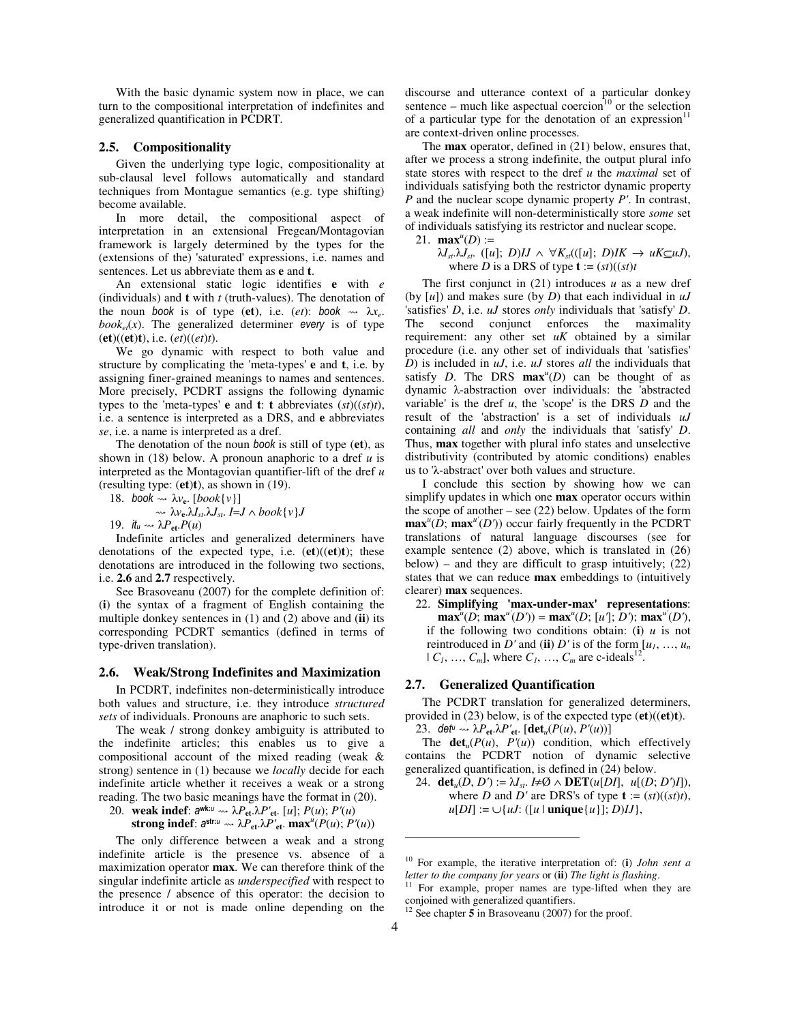With the basic dynamic system now in place, we can turn to the compositional interpretation of indefinites and generalized quantification in PCDRT.

## **2.5. Compositionality**

Given the underlying type logic, compositionality at sub-clausal level follows automatically and standard techniques from Montague semantics (e.g. type shifting) become available.

In more detail, the compositional aspect of interpretation in an extensional Fregean/Montagovian framework is largely determined by the types for the (extensions of the) 'saturated' expressions, i.e. names and sentences. Let us abbreviate them as **e** and **t**.

An extensional static logic identifies **e** with *e* (individuals) and **t** with *t* (truth-values). The denotation of the noun book is of type (et), i.e.  $(et)$ : book  $\rightarrow \lambda x_e$ .  $book_{et}(x)$ . The generalized determiner every is of type (**et**)((**et**)**t**), i.e. (*et*)((*et*)*t*).

We go dynamic with respect to both value and structure by complicating the 'meta-types' **e** and **t**, i.e. by assigning finer-grained meanings to names and sentences. More precisely, PCDRT assigns the following dynamic types to the 'meta-types' **e** and **t**: **t** abbreviates  $(st)$  $((st)t)$ , i.e. a sentence is interpreted as a DRS, and **e** abbreviates *se*, i.e. a name is interpreted as a dref.

The denotation of the noun book is still of type (**et**), as shown in (18) below. A pronoun anaphoric to a dref *u* is interpreted as the Montagovian quantifier-lift of the dref *u* (resulting type: (**et**)**t**), as shown in (19).

18. book  $\sim \lambda v_e$ . [*book*{*v*}]

 $\sim \lambda v_{e}$ , $\lambda I_{st}$ , $\lambda J_{st}$ ,  $I=J \wedge book\{v\}$ 19. it<sub>u</sub>  $\rightarrow \lambda P_{\text{et}} P(u)$ 

Indefinite articles and generalized determiners have denotations of the expected type, i.e. (**et**)((**et**)**t**); these denotations are introduced in the following two sections, i.e. **2.6** and **2.7** respectively.

See Brasoveanu (2007) for the complete definition of: (**i**) the syntax of a fragment of English containing the multiple donkey sentences in (1) and (2) above and (**ii**) its corresponding PCDRT semantics (defined in terms of type-driven translation).

## **2.6. Weak/Strong Indefinites and Maximization**

In PCDRT, indefinites non-deterministically introduce both values and structure, i.e. they introduce *structured sets* of individuals. Pronouns are anaphoric to such sets.

The weak / strong donkey ambiguity is attributed to the indefinite articles; this enables us to give a compositional account of the mixed reading (weak & strong) sentence in (1) because we *locally* decide for each indefinite article whether it receives a weak or a strong reading. The two basic meanings have the format in (20).

20. **weak indef**:  $a^{wk:u} \rightarrow \lambda P_{et} \lambda P_{et}$ . [*u*];  $P(u)$ ;  $P'(u)$ **strong indef**:  $a^{str:u} \sim \lambda P_{et} \lambda P'_{et}$ .  $\mathbf{max}^u(P(u); P'(u))$ 

The only difference between a weak and a strong indefinite article is the presence vs. absence of a maximization operator **max**. We can therefore think of the singular indefinite article as *underspecified* with respect to the presence / absence of this operator: the decision to introduce it or not is made online depending on the discourse and utterance context of a particular donkey sentence – much like aspectual coercion<sup>10</sup> or the selection of a particular type for the denotation of an expression $11$ are context-driven online processes.

The **max** operator, defined in (21) below, ensures that, after we process a strong indefinite, the output plural info state stores with respect to the dref *u* the *maximal* set of individuals satisfying both the restrictor dynamic property *P* and the nuclear scope dynamic property *P'*. In contrast, a weak indefinite will non-deterministically store *some* set of individuals satisfying its restrictor and nuclear scope.

21. **max**<sup>*u*</sup>(*D*) :=

 $\lambda I_{st}$ ,  $\lambda J_{st}$ . ([*u*]; *D*)*IJ*  $\wedge \forall K_{st}$ (([*u*]; *D*)*IK*  $\rightarrow \mu K \subseteq \mu J$ ), where *D* is a DRS of type  $\mathbf{t} := (st)((st)t)$ 

The first conjunct in (21) introduces *u* as a new dref (by [*u*]) and makes sure (by *D*) that each individual in *uJ* 'satisfies' *D*, i.e. *uJ* stores *only* individuals that 'satisfy' *D*. The second conjunct enforces the maximality requirement: any other set *uK* obtained by a similar procedure (i.e. any other set of individuals that 'satisfies' *D*) is included in *uJ*, i.e. *uJ* stores *all* the individuals that satisfy *D*. The DRS  $max<sup>u</sup>(D)$  can be thought of as dynamic λ-abstraction over individuals: the 'abstracted variable' is the dref *u*, the 'scope' is the DRS *D* and the result of the 'abstraction' is a set of individuals *uJ* containing *all* and *only* the individuals that 'satisfy' *D*. Thus, **max** together with plural info states and unselective distributivity (contributed by atomic conditions) enables us to 'λ-abstract' over both values and structure.

I conclude this section by showing how we can simplify updates in which one **max** operator occurs within the scope of another – see (22) below. Updates of the form  $\max^{u}(\hat{D}; \max^{u'}(D'))$  occur fairly frequently in the PCDRT translations of natural language discourses (see for example sentence (2) above, which is translated in (26) below) – and they are difficult to grasp intuitively;  $(22)$ states that we can reduce **max** embeddings to (intuitively clearer) **max** sequences.

22. **Simplifying 'max-under-max' representations**: **max**<sup>*u*</sup>(*D*; **max**<sup>*u*</sup>(*D'*)) = **max**<sup>*u*</sup>(*D*; [*u*<sup>T</sup>]; *D'*); **max**<sup>*u*</sup>(*D'*), if the following two conditions obtain: (i)  $u$  is not reintroduced in *D'* and (ii) *D'* is of the form  $[u_1, ..., u_n]$  $| C_1, ..., C_m |$ , where  $C_1, ..., C_m$  are c-ideals<sup>12</sup>.

#### **2.7. Generalized Quantification**

The PCDRT translation for generalized determiners, provided in (23) below, is of the expected type (**et**)((**et**)**t**). 23. det<sup>u</sup>  $\sim \lambda P_{\text{et}} \lambda P_{\text{et}}$ . [det<sub>*u*</sub>(*P*(*u*), *P'*(*u*))]

The  $\det_u(P(u), P'(u))$  condition, which effectively contains the PCDRT notion of dynamic selective generalized quantification, is defined in (24) below.

24. **det**<sub>*u*</sub>(*D*, *D'*) :=  $\lambda I_{st}$ . *I*≠Ø  $\wedge$  **DET**(*u*[*DI*], *u*[(*D*; *D'*)*I*]), where *D* and *D'* are DRS's of type  $\mathbf{t} := (st)((st)t)$ ,  $u[DI] := \bigcup \{ uJ : ([u \mid \text{unique}\{u\}]; D)IJ \},\$ 

 $\ddot{ }$ 

<sup>10</sup> For example, the iterative interpretation of: (**i**) *John sent a letter to the company for years* or (**ii**) *The light is flashing*.

<sup>&</sup>lt;sup>11</sup> For example, proper names are type-lifted when they are conjoined with generalized quantifiers.

<sup>12</sup> See chapter **5** in Brasoveanu (2007) for the proof.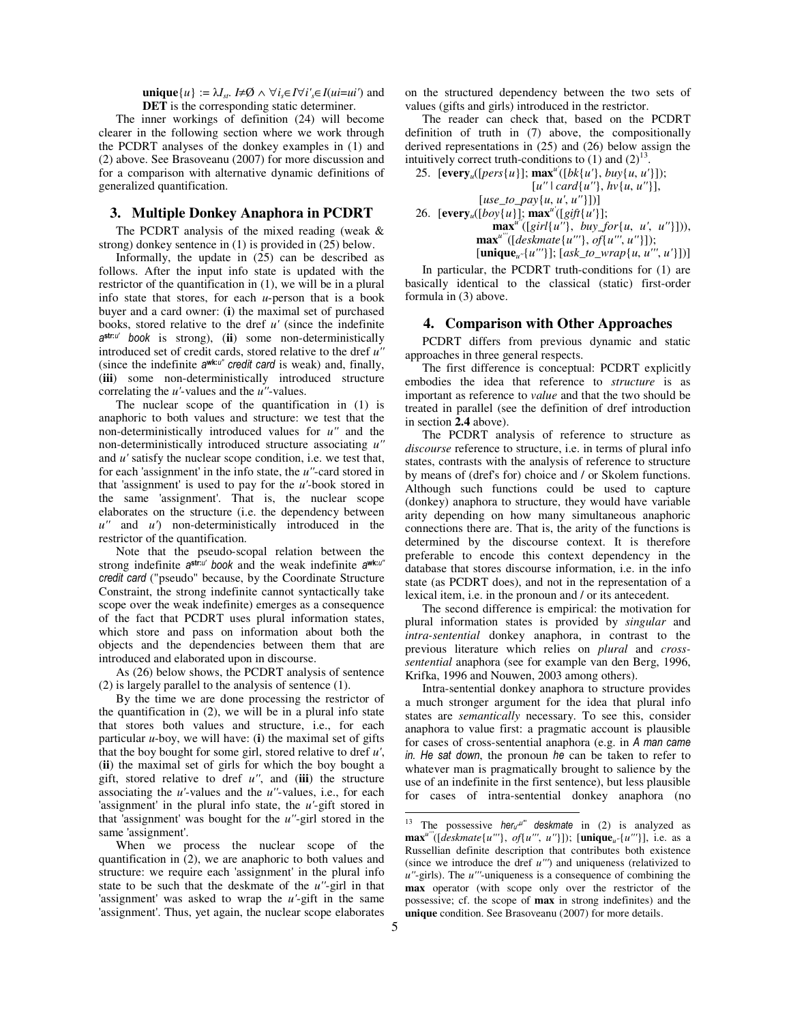**unique**{*u*} :=  $\lambda I_{st}$ . *I*≠Ø  $\wedge \forall i_s \in I \forall i_s' \in I$ (*ui*=*ui'*) and **DET** is the corresponding static determiner.

The inner workings of definition (24) will become clearer in the following section where we work through the PCDRT analyses of the donkey examples in (1) and (2) above. See Brasoveanu (2007) for more discussion and for a comparison with alternative dynamic definitions of generalized quantification.

## **3. Multiple Donkey Anaphora in PCDRT**

The PCDRT analysis of the mixed reading (weak & strong) donkey sentence in (1) is provided in (25) below.

Informally, the update in (25) can be described as follows. After the input info state is updated with the restrictor of the quantification in (1), we will be in a plural info state that stores, for each *u*-person that is a book buyer and a card owner: (**i**) the maximal set of purchased books, stored relative to the dref *u'* (since the indefinite a str:u' book is strong), (**ii**) some non-deterministically introduced set of credit cards, stored relative to the dref *u''* (since the indefinite awk:u" credit card is weak) and, finally, (**iii**) some non-deterministically introduced structure correlating the *u'*-values and the *u''*-values.

The nuclear scope of the quantification in (1) is anaphoric to both values and structure: we test that the non-deterministically introduced values for *u''* and the non-deterministically introduced structure associating *u''* and *u'* satisfy the nuclear scope condition, i.e. we test that, for each 'assignment' in the info state, the *u''*-card stored in that 'assignment' is used to pay for the *u'*-book stored in the same 'assignment'. That is, the nuclear scope elaborates on the structure (i.e. the dependency between *u''* and *u'*) non-deterministically introduced in the restrictor of the quantification.

Note that the pseudo-scopal relation between the strong indefinite astru' book and the weak indefinite awku'' credit card ("pseudo" because, by the Coordinate Structure Constraint, the strong indefinite cannot syntactically take scope over the weak indefinite) emerges as a consequence of the fact that PCDRT uses plural information states, which store and pass on information about both the objects and the dependencies between them that are introduced and elaborated upon in discourse.

As (26) below shows, the PCDRT analysis of sentence (2) is largely parallel to the analysis of sentence (1).

By the time we are done processing the restrictor of the quantification in (2), we will be in a plural info state that stores both values and structure, i.e., for each particular *u*-boy, we will have: (**i**) the maximal set of gifts that the boy bought for some girl, stored relative to dref *u'*, (**ii**) the maximal set of girls for which the boy bought a gift, stored relative to dref *u''*, and (**iii**) the structure associating the *u'*-values and the *u''*-values, i.e., for each 'assignment' in the plural info state, the *u'*-gift stored in that 'assignment' was bought for the *u''*-girl stored in the same 'assignment'.

on the structured dependency between the two sets of values (gifts and girls) introduced in the restrictor.

The reader can check that, based on the PCDRT definition of truth in (7) above, the compositionally derived representations in (25) and (26) below assign the intuitively correct truth-conditions to  $(1)$  and  $(2)^{13}$ .

25.  $[every_u([pers\{u\}]; \max^u([bk\{u'\}, buy\{u, u'\}]);$  [*u''* | *card*{*u''*}, *hv*{*u*, *u''*}], [*use\_to\_pay*{*u*, *u'*, *u''*}])] 26.  $[every_u([boy{u})]; max^u([gift{u}$ 

**max**<sup>*u*</sup>([*girl*{*u''*}, *buy\_for*{*u*, *u'*, *u''*}])), **max***u'''*([*deskmate*{*u'''*}, *of*{*u'''*, *u''*}]); [**unique***u''*{*u'''*}]; [*ask\_to\_wrap*{*u*, *u'''*, *u'*}])]

In particular, the PCDRT truth-conditions for (1) are basically identical to the classical (static) first-order formula in (3) above.

#### **4. Comparison with Other Approaches**

PCDRT differs from previous dynamic and static approaches in three general respects.

The first difference is conceptual: PCDRT explicitly embodies the idea that reference to *structure* is as important as reference to *value* and that the two should be treated in parallel (see the definition of dref introduction in section **2.4** above).

The PCDRT analysis of reference to structure as *discourse* reference to structure, i.e. in terms of plural info states, contrasts with the analysis of reference to structure by means of (dref's for) choice and / or Skolem functions. Although such functions could be used to capture (donkey) anaphora to structure, they would have variable arity depending on how many simultaneous anaphoric connections there are. That is, the arity of the functions is determined by the discourse context. It is therefore preferable to encode this context dependency in the database that stores discourse information, i.e. in the info state (as PCDRT does), and not in the representation of a lexical item, i.e. in the pronoun and / or its antecedent.

The second difference is empirical: the motivation for plural information states is provided by *singular* and *intra-sentential* donkey anaphora, in contrast to the previous literature which relies on *plural* and *crosssentential* anaphora (see for example van den Berg, 1996, Krifka, 1996 and Nouwen, 2003 among others).

Intra-sentential donkey anaphora to structure provides a much stronger argument for the idea that plural info states are *semantically* necessary. To see this, consider anaphora to value first: a pragmatic account is plausible for cases of cross-sentential anaphora (e.g. in A man came in. He sat down, the pronoun he can be taken to refer to whatever man is pragmatically brought to salience by the use of an indefinite in the first sentence), but less plausible for cases of intra-sentential donkey anaphora (no

 $\ddot{ }$ 

When we process the nuclear scope of the quantification in (2), we are anaphoric to both values and structure: we require each 'assignment' in the plural info state to be such that the deskmate of the *u''*-girl in that 'assignment' was asked to wrap the *u'*-gift in the same 'assignment'. Thus, yet again, the nuclear scope elaborates

<sup>&</sup>lt;sup>13</sup> The possessive her<sub>u'</sub>u''' deskmate in (2) is analyzed as **max**<sup>*u*</sup>''([*deskmate*{*u'''*}, *of*{*u'''*, *u''*}]); [**unique**<sub>*u''*</sub>{*u'''*}], i.e. as a Russellian definite description that contributes both existence (since we introduce the dref *u'''*) and uniqueness (relativized to *u''*-girls). The *u'''*-uniqueness is a consequence of combining the **max** operator (with scope only over the restrictor of the possessive; cf. the scope of **max** in strong indefinites) and the **unique** condition. See Brasoveanu (2007) for more details.